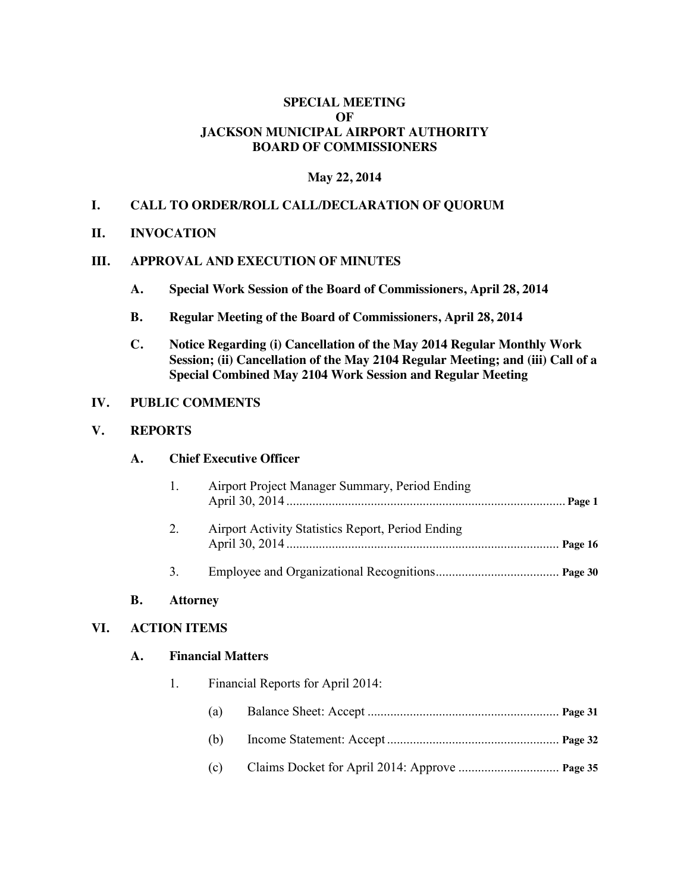# **SPECIAL MEETING OF JACKSON MUNICIPAL AIRPORT AUTHORITY BOARD OF COMMISSIONERS**

## **May 22, 2014**

# **I. CALL TO ORDER/ROLL CALL/DECLARATION OF QUORUM**

**II. INVOCATION**

#### **III. APPROVAL AND EXECUTION OF MINUTES**

- **A. Special Work Session of the Board of Commissioners, April 28, 2014**
- **B. Regular Meeting of the Board of Commissioners, April 28, 2014**
- **C. Notice Regarding (i) Cancellation of the May 2014 Regular Monthly Work Session; (ii) Cancellation of the May 2104 Regular Meeting; and (iii) Call of a Special Combined May 2104 Work Session and Regular Meeting**

#### **IV. PUBLIC COMMENTS**

# **V. REPORTS**

## **A. Chief Executive Officer**

| $\mathbf{1}$ . | Airport Project Manager Summary, Period Ending    |  |
|----------------|---------------------------------------------------|--|
|                | Airport Activity Statistics Report, Period Ending |  |
|                |                                                   |  |

#### **B. Attorney**

#### **VI. ACTION ITEMS**

#### **A. Financial Matters**

- 1. Financial Reports for April 2014:
	- (a) Balance Sheet: Accept ........................................................... **Page 31**
	- (b) Income Statement: Accept ..................................................... **Page 32**
	- (c) Claims Docket for April 2014: Approve ............................... **Page 35**